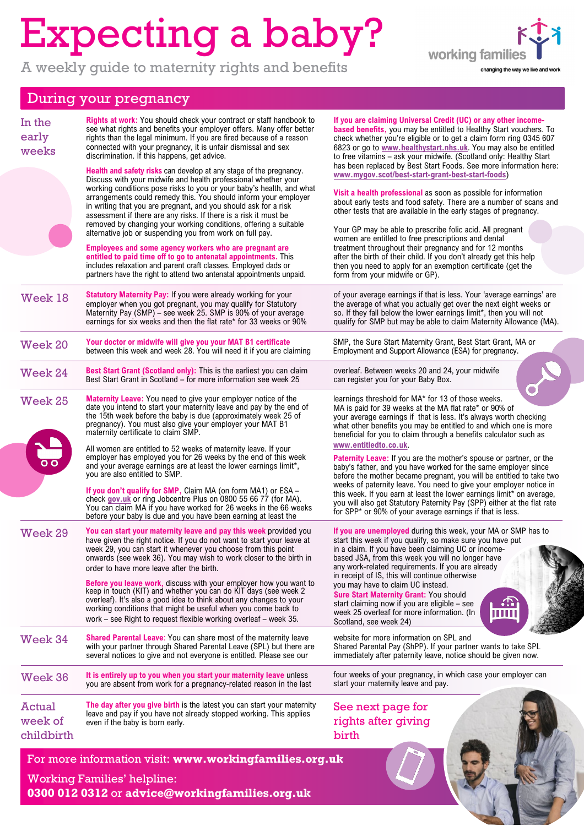## Expecting a baby?

A weekly guide to maternity rights and benefits



## During your pregnancy

| In the<br>early<br>weeks               | <b>Rights at work:</b> You should check your contract or staff handbook to<br>see what rights and benefits your employer offers. Many offer better<br>rights than the legal minimum. If you are fired because of a reason<br>connected with your pregnancy, it is unfair dismissal and sex<br>discrimination. If this happens, get advice.                                                                                                                                                                                                                                                                                                                                                                                                                                                                                    | If you are claiming Universal Credit (UC) or any other income-<br>based benefits, you may be entitled to Healthy Start vouchers. To<br>check whether you're eligible or to get a claim form ring 0345 607<br>6823 or go to www.healthystart.nhs.uk. You may also be entitled<br>to free vitamins - ask your midwife. (Scotland only: Healthy Start                                                                                                                                                                                                                                                                                                                                        |
|----------------------------------------|-------------------------------------------------------------------------------------------------------------------------------------------------------------------------------------------------------------------------------------------------------------------------------------------------------------------------------------------------------------------------------------------------------------------------------------------------------------------------------------------------------------------------------------------------------------------------------------------------------------------------------------------------------------------------------------------------------------------------------------------------------------------------------------------------------------------------------|-------------------------------------------------------------------------------------------------------------------------------------------------------------------------------------------------------------------------------------------------------------------------------------------------------------------------------------------------------------------------------------------------------------------------------------------------------------------------------------------------------------------------------------------------------------------------------------------------------------------------------------------------------------------------------------------|
|                                        | Health and safety risks can develop at any stage of the pregnancy.<br>Discuss with your midwife and health professional whether your<br>working conditions pose risks to you or your baby's health, and what<br>arrangements could remedy this. You should inform your employer<br>in writing that you are pregnant, and you should ask for a risk<br>assessment if there are any risks. If there is a risk it must be<br>removed by changing your working conditions, offering a suitable<br>alternative job or suspending you from work on full pay.<br>Employees and some agency workers who are pregnant are<br>entitled to paid time off to go to antenatal appointments. This<br>includes relaxation and parent craft classes. Employed dads or<br>partners have the right to attend two antenatal appointments unpaid. | has been replaced by Best Start Foods. See more information here:<br>www.mygov.scot/best-start-grant-best-start-foods)<br>Visit a health professional as soon as possible for information<br>about early tests and food safety. There are a number of scans and<br>other tests that are available in the early stages of pregnancy.<br>Your GP may be able to prescribe folic acid. All pregnant<br>women are entitled to free prescriptions and dental<br>treatment throughout their pregnancy and for 12 months<br>after the birth of their child. If you don't already get this help<br>then you need to apply for an exemption certificate (get the<br>form from your midwife or GP). |
| Week 18                                | Statutory Maternity Pay: If you were already working for your<br>employer when you got pregnant, you may qualify for Statutory<br>Maternity Pay (SMP) – see week 25. SMP is 90% of your average<br>earnings for six weeks and then the flat rate* for 33 weeks or 90%                                                                                                                                                                                                                                                                                                                                                                                                                                                                                                                                                         | of your average earnings if that is less. Your 'average earnings' are<br>the average of what you actually get over the next eight weeks or<br>so. If they fall below the lower earnings limit*, then you will not<br>qualify for SMP but may be able to claim Maternity Allowance (MA).                                                                                                                                                                                                                                                                                                                                                                                                   |
| Week 20                                | Your doctor or midwife will give you your MAT B1 certificate<br>between this week and week 28. You will need it if you are claiming                                                                                                                                                                                                                                                                                                                                                                                                                                                                                                                                                                                                                                                                                           | SMP, the Sure Start Maternity Grant, Best Start Grant, MA or<br>Employment and Support Allowance (ESA) for pregnancy.                                                                                                                                                                                                                                                                                                                                                                                                                                                                                                                                                                     |
| <b>Week 24</b>                         | <b>Best Start Grant (Scotland only):</b> This is the earliest you can claim<br>Best Start Grant in Scotland - for more information see week 25                                                                                                                                                                                                                                                                                                                                                                                                                                                                                                                                                                                                                                                                                | overleaf. Between weeks 20 and 24, your midwife<br>can register you for your Baby Box.                                                                                                                                                                                                                                                                                                                                                                                                                                                                                                                                                                                                    |
| Week 25                                | Maternity Leave: You need to give your employer notice of the<br>date you intend to start your maternity leave and pay by the end of<br>the 15th week before the baby is due (approximately week 25 of<br>pregnancy). You must also give your employer your MAT B1<br>maternity certificate to claim SMP.                                                                                                                                                                                                                                                                                                                                                                                                                                                                                                                     | learnings threshold for MA* for 13 of those weeks.<br>MA is paid for 39 weeks at the MA flat rate* or 90% of<br>your average earnings if that is less. It's always worth checking<br>what other benefits you may be entitled to and which one is more<br>beneficial for you to claim through a benefits calculator such as                                                                                                                                                                                                                                                                                                                                                                |
|                                        | All women are entitled to 52 weeks of maternity leave. If your<br>employer has employed you for 26 weeks by the end of this week<br>and your average earnings are at least the lower earnings limit*,<br>you are also entitled to SMP.<br>If you don't qualify for SMP, Claim MA (on form MA1) or ESA -<br>check gov.uk or ring Jobcentre Plus on 0800 55 66 77 (for MA).<br>You can claim MA if you have worked for 26 weeks in the 66 weeks<br>before your baby is due and you have been earning at least the                                                                                                                                                                                                                                                                                                               | www.entitledto.co.uk.<br>Paternity Leave: If you are the mother's spouse or partner, or the<br>baby's father, and you have worked for the same employer since<br>before the mother became pregnant, you will be entitled to take two<br>weeks of paternity leave. You need to give your employer notice in<br>this week. If you earn at least the lower earnings limit* on average,<br>you will also get Statutory Paternity Pay (SPP) either at the flat rate<br>for SPP* or 90% of your average earnings if that is less.                                                                                                                                                               |
| Week 29                                | You can start your maternity leave and pay this week provided you<br>have given the right notice. If you do not want to start your leave at<br>week 29, you can start it whenever you choose from this point<br>onwards (see week 36). You may wish to work closer to the birth in<br>order to have more leave after the birth.<br>Before you leave work, discuss with your employer how you want to keep in touch (KIT) and whether you can do KIT days (see week 2<br>overleaf). It's also a good idea to think about any changes to your<br>working conditions that might be useful when you come back to<br>work – see Right to request flexible working overleaf – week 35.                                                                                                                                              | If you are unemployed during this week, your MA or SMP has to<br>start this week if you qualify, so make sure you have put<br>in a claim. If you have been claiming UC or income-<br>based JSA, from this week you will no longer have<br>any work-related requirements. If you are already<br>in receipt of IS, this will continue otherwise<br>you may have to claim UC instead.<br><b>Sure Start Maternity Grant: You should</b><br>start claiming now if you are eligible – see<br>ŎÄĎ<br>week 25 overleaf for more information. (In<br>111111<br>Scotland, see week 24)                                                                                                              |
| Week 34                                | <b>Shared Parental Leave:</b> You can share most of the maternity leave<br>with your partner through Shared Parental Leave (SPL) but there are<br>several notices to give and not everyone is entitled. Please see our                                                                                                                                                                                                                                                                                                                                                                                                                                                                                                                                                                                                        | website for more information on SPL and<br>Shared Parental Pay (ShPP). If your partner wants to take SPL<br>immediately after paternity leave, notice should be given now.                                                                                                                                                                                                                                                                                                                                                                                                                                                                                                                |
| Week 36                                | It is entirely up to you when you start your maternity leave unless<br>you are absent from work for a pregnancy-related reason in the last                                                                                                                                                                                                                                                                                                                                                                                                                                                                                                                                                                                                                                                                                    | four weeks of your pregnancy, in which case your employer can<br>start your maternity leave and pay.                                                                                                                                                                                                                                                                                                                                                                                                                                                                                                                                                                                      |
| <b>Actual</b><br>week of<br>childbirth | The day after you give birth is the latest you can start your maternity<br>leave and pay if you have not already stopped working. This applies<br>even if the baby is born early.                                                                                                                                                                                                                                                                                                                                                                                                                                                                                                                                                                                                                                             | See next page for<br>rights after giving<br>birth                                                                                                                                                                                                                                                                                                                                                                                                                                                                                                                                                                                                                                         |
|                                        | For more information visit: www.workingfamilies.org.uk                                                                                                                                                                                                                                                                                                                                                                                                                                                                                                                                                                                                                                                                                                                                                                        |                                                                                                                                                                                                                                                                                                                                                                                                                                                                                                                                                                                                                                                                                           |
|                                        | <b>Working Families' helpline:</b><br>0300 012 0312 or advice@workingfamilies.org.uk                                                                                                                                                                                                                                                                                                                                                                                                                                                                                                                                                                                                                                                                                                                                          |                                                                                                                                                                                                                                                                                                                                                                                                                                                                                                                                                                                                                                                                                           |